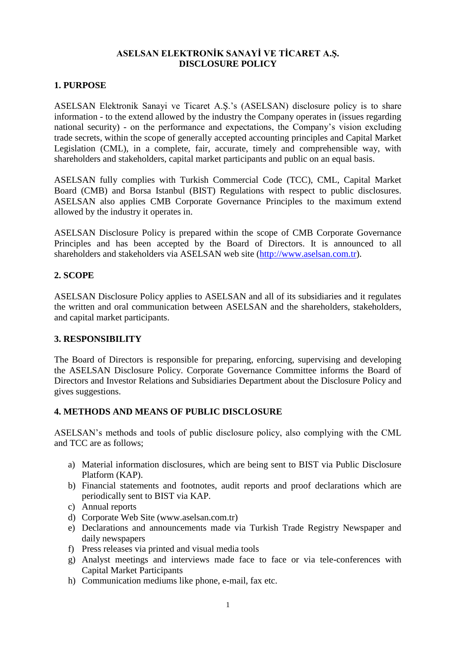## **ASELSAN ELEKTRONİK SANAYİ VE TİCARET A.Ş. DISCLOSURE POLICY**

#### **1. PURPOSE**

ASELSAN Elektronik Sanayi ve Ticaret A.Ş.'s (ASELSAN) disclosure policy is to share information - to the extend allowed by the industry the Company operates in (issues regarding national security) - on the performance and expectations, the Company's vision excluding trade secrets, within the scope of generally accepted accounting principles and Capital Market Legislation (CML), in a complete, fair, accurate, timely and comprehensible way, with shareholders and stakeholders, capital market participants and public on an equal basis.

ASELSAN fully complies with Turkish Commercial Code (TCC), CML, Capital Market Board (CMB) and Borsa Istanbul (BIST) Regulations with respect to public disclosures. ASELSAN also applies CMB Corporate Governance Principles to the maximum extend allowed by the industry it operates in.

ASELSAN Disclosure Policy is prepared within the scope of CMB Corporate Governance Principles and has been accepted by the Board of Directors. It is announced to all shareholders and stakeholders via ASELSAN web site [\(http://www.aselsan.com.tr\)](http://www.aselsan.com.tr/).

### **2. SCOPE**

ASELSAN Disclosure Policy applies to ASELSAN and all of its subsidiaries and it regulates the written and oral communication between ASELSAN and the shareholders, stakeholders, and capital market participants.

### **3. RESPONSIBILITY**

The Board of Directors is responsible for preparing, enforcing, supervising and developing the ASELSAN Disclosure Policy. Corporate Governance Committee informs the Board of Directors and Investor Relations and Subsidiaries Department about the Disclosure Policy and gives suggestions.

### **4. METHODS AND MEANS OF PUBLIC DISCLOSURE**

ASELSAN's methods and tools of public disclosure policy, also complying with the CML and TCC are as follows;

- a) Material information disclosures, which are being sent to BIST via Public Disclosure Platform (KAP).
- b) Financial statements and footnotes, audit reports and proof declarations which are periodically sent to BIST via KAP.
- c) Annual reports
- d) Corporate Web Site (www.aselsan.com.tr)
- e) Declarations and announcements made via Turkish Trade Registry Newspaper and daily newspapers
- f) Press releases via printed and visual media tools
- g) Analyst meetings and interviews made face to face or via tele-conferences with Capital Market Participants
- h) Communication mediums like phone, e-mail, fax etc.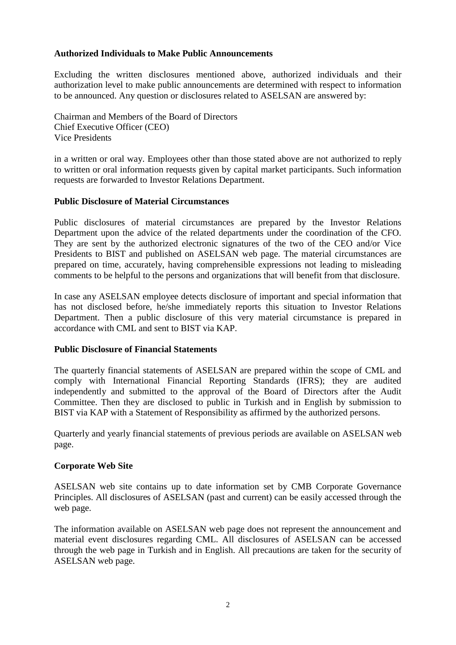#### **Authorized Individuals to Make Public Announcements**

Excluding the written disclosures mentioned above, authorized individuals and their authorization level to make public announcements are determined with respect to information to be announced. Any question or disclosures related to ASELSAN are answered by:

Chairman and Members of the Board of Directors Chief Executive Officer (CEO) Vice Presidents

in a written or oral way. Employees other than those stated above are not authorized to reply to written or oral information requests given by capital market participants. Such information requests are forwarded to Investor Relations Department.

#### **Public Disclosure of Material Circumstances**

Public disclosures of material circumstances are prepared by the Investor Relations Department upon the advice of the related departments under the coordination of the CFO. They are sent by the authorized electronic signatures of the two of the CEO and/or Vice Presidents to BIST and published on ASELSAN web page. The material circumstances are prepared on time, accurately, having comprehensible expressions not leading to misleading comments to be helpful to the persons and organizations that will benefit from that disclosure.

In case any ASELSAN employee detects disclosure of important and special information that has not disclosed before, he/she immediately reports this situation to Investor Relations Department. Then a public disclosure of this very material circumstance is prepared in accordance with CML and sent to BIST via KAP.

#### **Public Disclosure of Financial Statements**

The quarterly financial statements of ASELSAN are prepared within the scope of CML and comply with International Financial Reporting Standards (IFRS); they are audited independently and submitted to the approval of the Board of Directors after the Audit Committee. Then they are disclosed to public in Turkish and in English by submission to BIST via KAP with a Statement of Responsibility as affirmed by the authorized persons.

Quarterly and yearly financial statements of previous periods are available on ASELSAN web page.

#### **Corporate Web Site**

ASELSAN web site contains up to date information set by CMB Corporate Governance Principles. All disclosures of ASELSAN (past and current) can be easily accessed through the web page.

The information available on ASELSAN web page does not represent the announcement and material event disclosures regarding CML. All disclosures of ASELSAN can be accessed through the web page in Turkish and in English. All precautions are taken for the security of ASELSAN web page.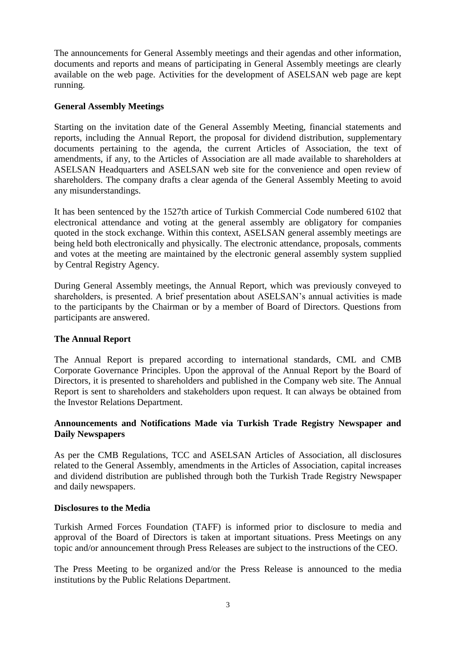The announcements for General Assembly meetings and their agendas and other information, documents and reports and means of participating in General Assembly meetings are clearly available on the web page. Activities for the development of ASELSAN web page are kept running.

#### **General Assembly Meetings**

Starting on the invitation date of the General Assembly Meeting, financial statements and reports, including the Annual Report, the proposal for dividend distribution, supplementary documents pertaining to the agenda, the current Articles of Association, the text of amendments, if any, to the Articles of Association are all made available to shareholders at ASELSAN Headquarters and ASELSAN web site for the convenience and open review of shareholders. The company drafts a clear agenda of the General Assembly Meeting to avoid any misunderstandings.

It has been sentenced by the 1527th artice of Turkish Commercial Code numbered 6102 that electronical attendance and voting at the general assembly are obligatory for companies quoted in the stock exchange. Within this context, ASELSAN general assembly meetings are being held both electronically and physically. The electronic attendance, proposals, comments and votes at the meeting are maintained by the electronic general assembly system supplied by Central Registry Agency.

During General Assembly meetings, the Annual Report, which was previously conveyed to shareholders, is presented. A brief presentation about ASELSAN's annual activities is made to the participants by the Chairman or by a member of Board of Directors. Questions from participants are answered.

### **The Annual Report**

The Annual Report is prepared according to international standards, CML and CMB Corporate Governance Principles. Upon the approval of the Annual Report by the Board of Directors, it is presented to shareholders and published in the Company web site. The Annual Report is sent to shareholders and stakeholders upon request. It can always be obtained from the Investor Relations Department.

### **Announcements and Notifications Made via Turkish Trade Registry Newspaper and Daily Newspapers**

As per the CMB Regulations, TCC and ASELSAN Articles of Association, all disclosures related to the General Assembly, amendments in the Articles of Association, capital increases and dividend distribution are published through both the Turkish Trade Registry Newspaper and daily newspapers.

#### **Disclosures to the Media**

Turkish Armed Forces Foundation (TAFF) is informed prior to disclosure to media and approval of the Board of Directors is taken at important situations. Press Meetings on any topic and/or announcement through Press Releases are subject to the instructions of the CEO.

The Press Meeting to be organized and/or the Press Release is announced to the media institutions by the Public Relations Department.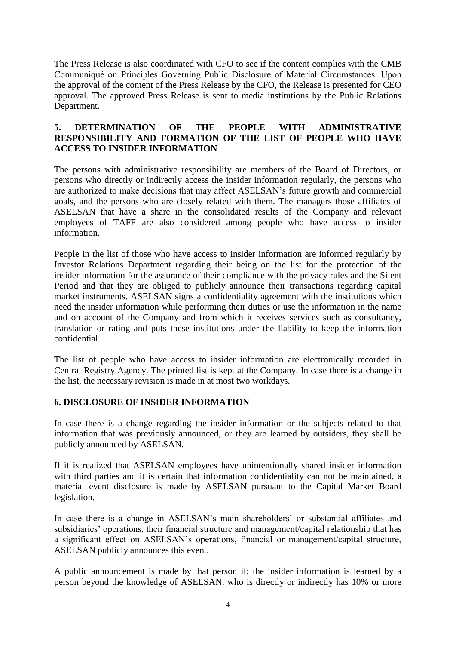The Press Release is also coordinated with CFO to see if the content complies with the CMB Communiqué on Principles Governing Public Disclosure of Material Circumstances. Upon the approval of the content of the Press Release by the CFO, the Release is presented for CEO approval. The approved Press Release is sent to media institutions by the Public Relations Department.

### **5. DETERMINATION OF THE PEOPLE WITH ADMINISTRATIVE RESPONSIBILITY AND FORMATION OF THE LIST OF PEOPLE WHO HAVE ACCESS TO INSIDER INFORMATION**

The persons with administrative responsibility are members of the Board of Directors, or persons who directly or indirectly access the insider information regularly, the persons who are authorized to make decisions that may affect ASELSAN's future growth and commercial goals, and the persons who are closely related with them. The managers those affiliates of ASELSAN that have a share in the consolidated results of the Company and relevant employees of TAFF are also considered among people who have access to insider information.

People in the list of those who have access to insider information are informed regularly by Investor Relations Department regarding their being on the list for the protection of the insider information for the assurance of their compliance with the privacy rules and the Silent Period and that they are obliged to publicly announce their transactions regarding capital market instruments. ASELSAN signs a confidentiality agreement with the institutions which need the insider information while performing their duties or use the information in the name and on account of the Company and from which it receives services such as consultancy, translation or rating and puts these institutions under the liability to keep the information confidential.

The list of people who have access to insider information are electronically recorded in Central Registry Agency. The printed list is kept at the Company. In case there is a change in the list, the necessary revision is made in at most two workdays.

### **6. DISCLOSURE OF INSIDER INFORMATION**

In case there is a change regarding the insider information or the subjects related to that information that was previously announced, or they are learned by outsiders, they shall be publicly announced by ASELSAN.

If it is realized that ASELSAN employees have unintentionally shared insider information with third parties and it is certain that information confidentiality can not be maintained, a material event disclosure is made by ASELSAN pursuant to the Capital Market Board legislation.

In case there is a change in ASELSAN's main shareholders' or substantial affiliates and subsidiaries' operations, their financial structure and management/capital relationship that has a significant effect on ASELSAN's operations, financial or management/capital structure, ASELSAN publicly announces this event.

A public announcement is made by that person if; the insider information is learned by a person beyond the knowledge of ASELSAN, who is directly or indirectly has 10% or more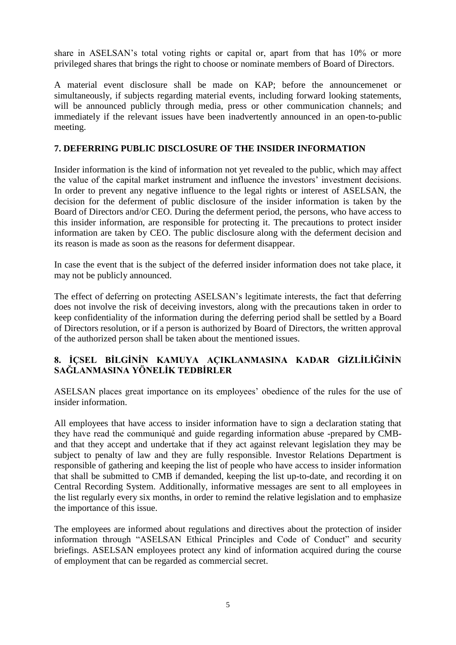share in ASELSAN's total voting rights or capital or, apart from that has 10% or more privileged shares that brings the right to choose or nominate members of Board of Directors.

A material event disclosure shall be made on KAP; before the announcemenet or simultaneously, if subjects regarding material events, including forward looking statements, will be announced publicly through media, press or other communication channels; and immediately if the relevant issues have been inadvertently announced in an open-to-public meeting.

## **7. DEFERRING PUBLIC DISCLOSURE OF THE INSIDER INFORMATION**

Insider information is the kind of information not yet revealed to the public, which may affect the value of the capital market instrument and influence the investors' investment decisions. In order to prevent any negative influence to the legal rights or interest of ASELSAN, the decision for the deferment of public disclosure of the insider information is taken by the Board of Directors and/or CEO. During the deferment period, the persons, who have access to this insider information, are responsible for protecting it. The precautions to protect insider information are taken by CEO. The public disclosure along with the deferment decision and its reason is made as soon as the reasons for deferment disappear.

In case the event that is the subject of the deferred insider information does not take place, it may not be publicly announced.

The effect of deferring on protecting ASELSAN's legitimate interests, the fact that deferring does not involve the risk of deceiving investors, along with the precautions taken in order to keep confidentiality of the information during the deferring period shall be settled by a Board of Directors resolution, or if a person is authorized by Board of Directors, the written approval of the authorized person shall be taken about the mentioned issues.

## **8. İÇSEL BİLGİNİN KAMUYA AÇIKLANMASINA KADAR GİZLİLİĞİNİN SAĞLANMASINA YÖNELİK TEDBİRLER**

ASELSAN places great importance on its employees' obedience of the rules for the use of insider information.

All employees that have access to insider information have to sign a declaration stating that they have read the communiqué and guide regarding information abuse -prepared by CMBand that they accept and undertake that if they act against relevant legislation they may be subject to penalty of law and they are fully responsible. Investor Relations Department is responsible of gathering and keeping the list of people who have access to insider information that shall be submitted to CMB if demanded, keeping the list up-to-date, and recording it on Central Recording System. Additionally, informative messages are sent to all employees in the list regularly every six months, in order to remind the relative legislation and to emphasize the importance of this issue.

The employees are informed about regulations and directives about the protection of insider information through "ASELSAN Ethical Principles and Code of Conduct" and security briefings. ASELSAN employees protect any kind of information acquired during the course of employment that can be regarded as commercial secret.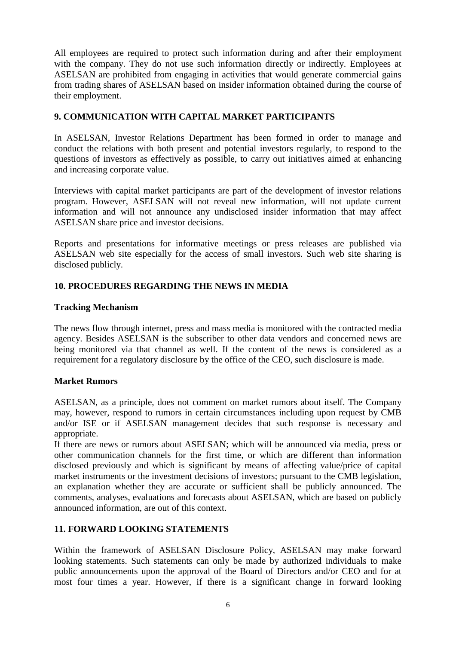All employees are required to protect such information during and after their employment with the company. They do not use such information directly or indirectly. Employees at ASELSAN are prohibited from engaging in activities that would generate commercial gains from trading shares of ASELSAN based on insider information obtained during the course of their employment.

## **9. COMMUNICATION WITH CAPITAL MARKET PARTICIPANTS**

In ASELSAN, Investor Relations Department has been formed in order to manage and conduct the relations with both present and potential investors regularly, to respond to the questions of investors as effectively as possible, to carry out initiatives aimed at enhancing and increasing corporate value.

Interviews with capital market participants are part of the development of investor relations program. However, ASELSAN will not reveal new information, will not update current information and will not announce any undisclosed insider information that may affect ASELSAN share price and investor decisions.

Reports and presentations for informative meetings or press releases are published via ASELSAN web site especially for the access of small investors. Such web site sharing is disclosed publicly.

### **10. PROCEDURES REGARDING THE NEWS IN MEDIA**

#### **Tracking Mechanism**

The news flow through internet, press and mass media is monitored with the contracted media agency. Besides ASELSAN is the subscriber to other data vendors and concerned news are being monitored via that channel as well. If the content of the news is considered as a requirement for a regulatory disclosure by the office of the CEO, such disclosure is made.

### **Market Rumors**

ASELSAN, as a principle, does not comment on market rumors about itself. The Company may, however, respond to rumors in certain circumstances including upon request by CMB and/or ISE or if ASELSAN management decides that such response is necessary and appropriate.

If there are news or rumors about ASELSAN; which will be announced via media, press or other communication channels for the first time, or which are different than information disclosed previously and which is significant by means of affecting value/price of capital market instruments or the investment decisions of investors; pursuant to the CMB legislation, an explanation whether they are accurate or sufficient shall be publicly announced. The comments, analyses, evaluations and forecasts about ASELSAN, which are based on publicly announced information, are out of this context.

### **11. FORWARD LOOKING STATEMENTS**

Within the framework of ASELSAN Disclosure Policy, ASELSAN may make forward looking statements. Such statements can only be made by authorized individuals to make public announcements upon the approval of the Board of Directors and/or CEO and for at most four times a year. However, if there is a significant change in forward looking